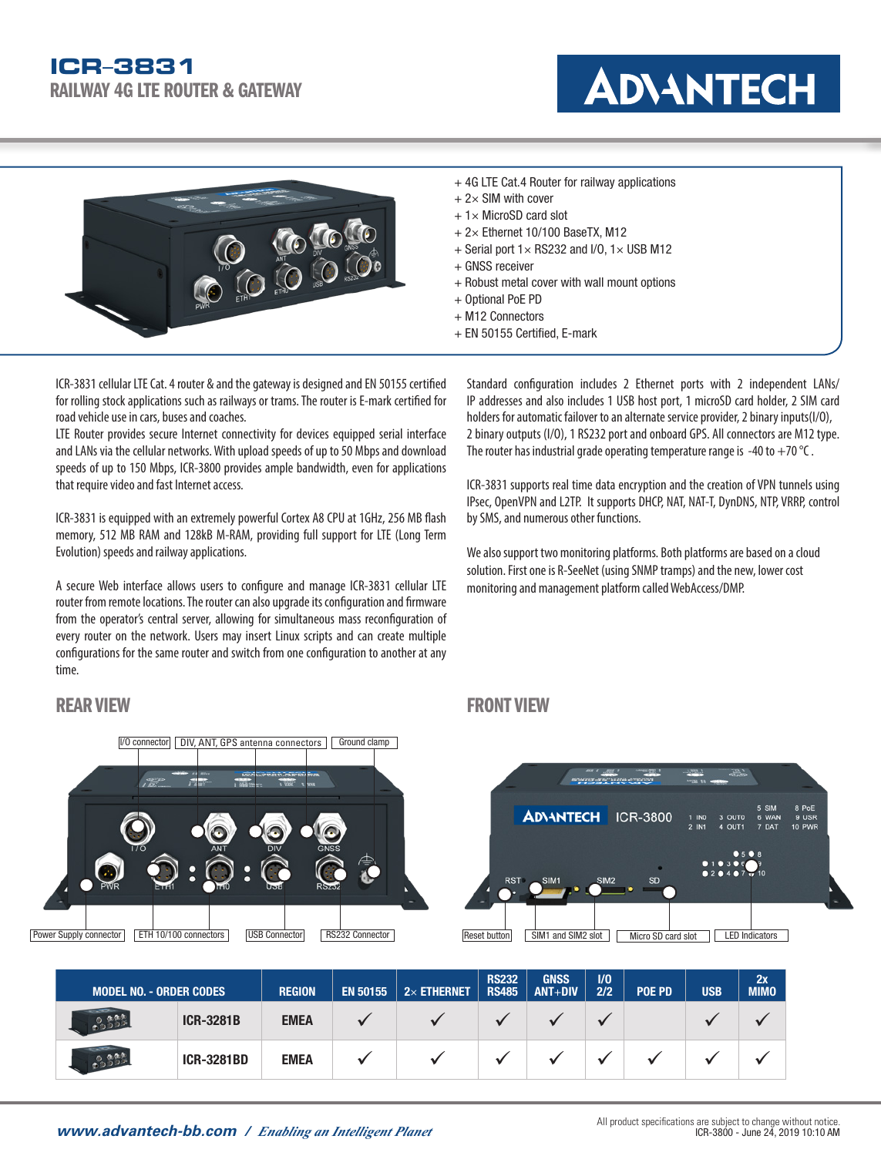



- + 4G LTE Cat.4 Router for railway applications
- $+ 2 \times$  SIM with cover
- $+ 1 \times$  MicroSD card slot
- $+ 2 \times$  Ethernet 10/100 BaseTX, M12
- $+$  Serial port  $1 \times$  RS232 and I/O,  $1 \times$  USB M12
- + GNSS receiver
- + Robust metal cover with wall mount options
- + Optional PoE PD
- + M12 Connectors
- + EN 50155 Certified, E-mark

ICR-3831 cellular LTE Cat. 4 router & and the gateway is designed and EN 50155 certified for rolling stock applications such as railways or trams. The router is E-mark certified for road vehicle use in cars, buses and coaches.

LTE Router provides secure Internet connectivity for devices equipped serial interface and LANs via the cellular networks. With upload speeds of up to 50 Mbps and download speeds of up to 150 Mbps, ICR-3800 provides ample bandwidth, even for applications that require video and fast Internet access.

ICR-3831 is equipped with an extremely powerful Cortex A8 CPU at 1GHz, 256 MB flash memory, 512 MB RAM and 128kB M-RAM, providing full support for LTE (Long Term Evolution) speeds and railway applications.

A secure Web interface allows users to configure and manage ICR-3831 cellular LTE router from remote locations. The router can also upgrade its configuration and firmware from the operator's central server, allowing for simultaneous mass reconfiguration of every router on the network. Users may insert Linux scripts and can create multiple configurations for the same router and switch from one configuration to another at any time.

#### Standard configuration includes 2 Ethernet ports with 2 independent LANs/ IP addresses and also includes 1 USB host port, 1 microSD card holder, 2 SIM card holders for automatic failover to an alternate service provider, 2 binary inputs(I/O), 2 binary outputs (I/O), 1 RS232 port and onboard GPS. All connectors are M12 type. The router has industrial grade operating temperature range is -40 to  $+70$  °C.

ICR-3831 supports real time data encryption and the creation of VPN tunnels using IPsec, OpenVPN and L2TP. It supports DHCP, NAT, NAT-T, DynDNS, NTP, VRRP, control by SMS, and numerous other functions.

We also support two monitoring platforms. Both platforms are based on a cloud solution. First one is R-SeeNet (using SNMP tramps) and the new, lower cost monitoring and management platform called WebAccess/DMP.

## REAR VIEW FRONT VIEW FRONT VIEW FRONT VIEW FRONT VIEW FRONT VIEW FRONT VIEW FRONT VIEW FRONT VIEW FRONT VIEW F





| <b>MODEL NO. - ORDER CODES</b> |                   | <b>REGION</b> | <b>EN 50155</b> | $2\times$ ETHERNET | <b>RS232</b><br><b>RS485</b> | <b>GNSS</b><br>$ANT+DIV$ | 1/0<br>2/2 | <b>POE PD</b> | <b>USB</b> | 2x<br><b>MIMO</b> |
|--------------------------------|-------------------|---------------|-----------------|--------------------|------------------------------|--------------------------|------------|---------------|------------|-------------------|
| COOPE                          | <b>ICR-3281B</b>  | <b>EMEA</b>   |                 |                    |                              |                          |            |               |            |                   |
| 0.888                          | <b>ICR-3281BD</b> | <b>EMEA</b>   |                 |                    |                              |                          |            |               |            |                   |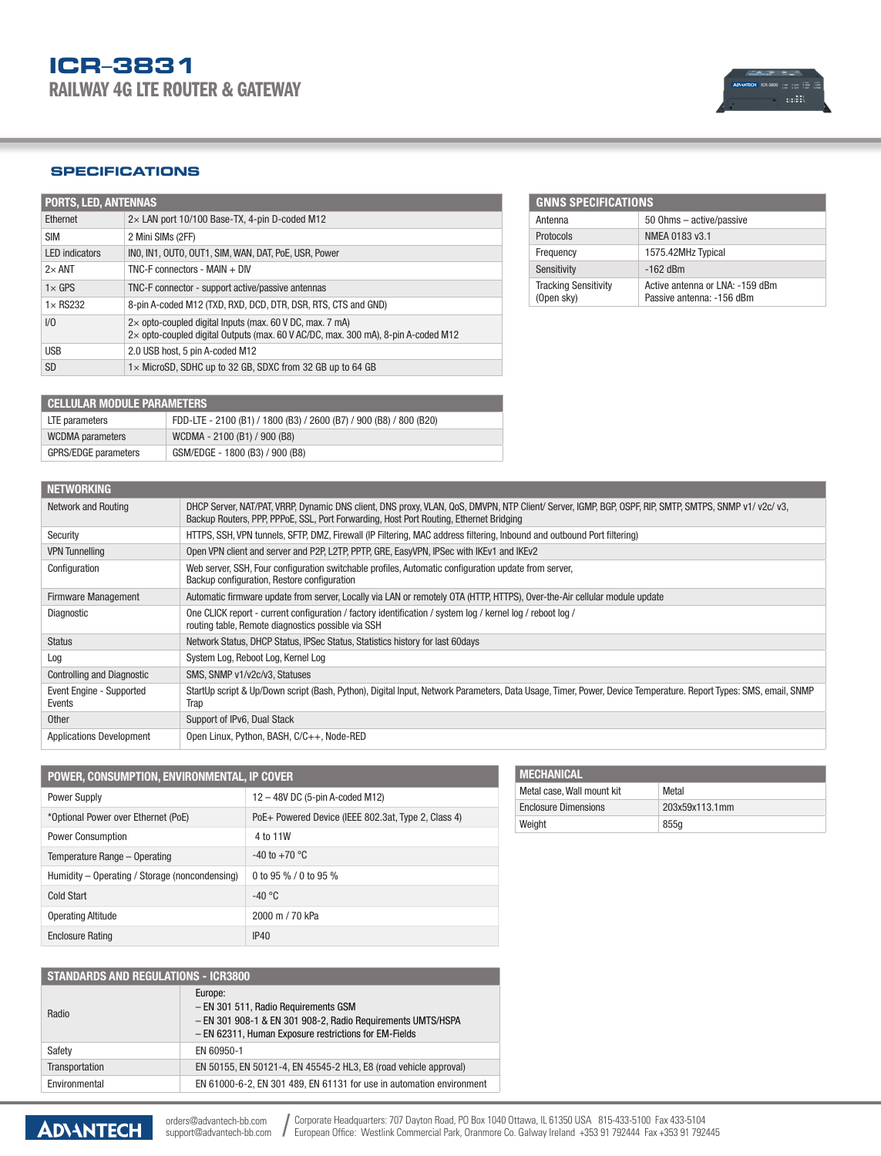### **SPECIFICATIONS**

| <b>PORTS, LED, ANTENNAS</b> |                                                                                                                                                      |  |  |
|-----------------------------|------------------------------------------------------------------------------------------------------------------------------------------------------|--|--|
| Ethernet                    | 2x LAN port 10/100 Base-TX, 4-pin D-coded M12                                                                                                        |  |  |
| <b>SIM</b>                  | 2 Mini SIMs (2FF)                                                                                                                                    |  |  |
| <b>LED</b> indicators       | INO, IN1, OUTO, OUT1, SIM, WAN, DAT, PoE, USR, Power                                                                                                 |  |  |
| $2\times$ ANT               | $TNC-F$ connectors - MAIN + DIV                                                                                                                      |  |  |
| $1 \times$ GPS              | TNC-F connector - support active/passive antennas                                                                                                    |  |  |
| $1 \times$ RS232            | 8-pin A-coded M12 (TXD, RXD, DCD, DTR, DSR, RTS, CTS and GND)                                                                                        |  |  |
| 1/0                         | $2\times$ opto-coupled digital lnputs (max. 60 V DC, max. 7 mA)<br>2x opto-coupled digital Outputs (max. 60 V AC/DC, max. 300 mA), 8-pin A-coded M12 |  |  |
| <b>USB</b>                  | 2.0 USB host, 5 pin A-coded M12                                                                                                                      |  |  |
| <b>SD</b>                   | 1x MicroSD, SDHC up to 32 GB, SDXC from 32 GB up to 64 GB                                                                                            |  |  |

| <b>GNNS SPECIFICATIONS</b>                |                                                              |  |  |
|-------------------------------------------|--------------------------------------------------------------|--|--|
| Antenna                                   | 50 Ohms - active/passive                                     |  |  |
| Protocols                                 | NMEA 0183 v3.1                                               |  |  |
| Frequency                                 | 1575.42MHz Typical                                           |  |  |
| Sensitivity                               | $-162$ dBm                                                   |  |  |
| <b>Tracking Sensitivity</b><br>(Open sky) | Active antenna or LNA: -159 dBm<br>Passive antenna: -156 dBm |  |  |

| <b>CELLULAR MODULE PARAMETERS</b> |                                                                    |  |  |
|-----------------------------------|--------------------------------------------------------------------|--|--|
| LTE parameters                    | FDD-LTE - 2100 (B1) / 1800 (B3) / 2600 (B7) / 900 (B8) / 800 (B20) |  |  |
| <b>WCDMA</b> parameters           | WCDMA - 2100 (B1) / 900 (B8)                                       |  |  |
| <b>GPRS/EDGE</b> parameters       | GSM/EDGE - 1800 (B3) / 900 (B8)                                    |  |  |

| <b>NETWORKING</b>                  |                                                                                                                                                                                                                                                 |
|------------------------------------|-------------------------------------------------------------------------------------------------------------------------------------------------------------------------------------------------------------------------------------------------|
| Network and Routing                | DHCP Server, NAT/PAT, VRRP, Dynamic DNS client, DNS proxy, VLAN, QoS, DMVPN, NTP Client/ Server, IGMP, BGP, OSPF, RIP, SMTP, SMTPS, SNMP v1/ v2c/ v3,<br>Backup Routers, PPP, PPPoE, SSL, Port Forwarding, Host Port Routing, Ethernet Bridging |
| Security                           | HTTPS, SSH, VPN tunnels, SFTP, DMZ, Firewall (IP Filtering, MAC address filtering, Inbound and outbound Port filtering)                                                                                                                         |
| <b>VPN Tunnelling</b>              | Open VPN client and server and P2P, L2TP, PPTP, GRE, EasyVPN, IPSec with IKEv1 and IKEv2                                                                                                                                                        |
| Configuration                      | Web server, SSH, Four configuration switchable profiles, Automatic configuration update from server,<br>Backup configuration, Restore configuration                                                                                             |
| <b>Firmware Management</b>         | Automatic firmware update from server, Locally via LAN or remotely OTA (HTTP, HTTPS), Over-the-Air cellular module update                                                                                                                       |
| Diagnostic                         | One CLICK report - current configuration / factory identification / system log / kernel log / reboot log /<br>routing table, Remote diagnostics possible via SSH                                                                                |
| <b>Status</b>                      | Network Status, DHCP Status, IPSec Status, Statistics history for last 60days                                                                                                                                                                   |
| Log                                | System Log, Reboot Log, Kernel Log                                                                                                                                                                                                              |
| <b>Controlling and Diagnostic</b>  | SMS, SNMP v1/v2c/v3, Statuses                                                                                                                                                                                                                   |
| Event Engine - Supported<br>Events | StartUp script & Up/Down script (Bash, Python), Digital Input, Network Parameters, Data Usage, Timer, Power, Device Temperature. Report Types: SMS, email, SNMP<br>Trap                                                                         |
| <b>Other</b>                       | Support of IPv6, Dual Stack                                                                                                                                                                                                                     |
| <b>Applications Development</b>    | Open Linux, Python, BASH, C/C++, Node-RED                                                                                                                                                                                                       |

| POWER, CONSUMPTION, ENVIRONMENTAL, IP COVER    |                                                     |  |  |
|------------------------------------------------|-----------------------------------------------------|--|--|
| Power Supply                                   | 12 - 48V DC (5-pin A-coded M12)                     |  |  |
| *Optional Power over Ethernet (PoE)            | PoE+ Powered Device (IEEE 802.3at, Type 2, Class 4) |  |  |
| <b>Power Consumption</b>                       | 4 to 11W                                            |  |  |
| Temperature Range - Operating                  | $-40$ to $+70$ °C                                   |  |  |
| Humidity - Operating / Storage (noncondensing) | 0 to 95 % / 0 to 95 %                               |  |  |
| Cold Start                                     | $-40 °C$                                            |  |  |
| <b>Operating Altitude</b>                      | 2000 m / 70 kPa                                     |  |  |
| <b>Enclosure Rating</b>                        | IP40                                                |  |  |

| <b>STANDARDS AND REGULATIONS - ICR3800</b> |                                                                                                                                                                         |  |  |
|--------------------------------------------|-------------------------------------------------------------------------------------------------------------------------------------------------------------------------|--|--|
| Radio                                      | Europe:<br>- EN 301 511, Radio Requirements GSM<br>- EN 301 908-1 & EN 301 908-2, Radio Requirements UMTS/HSPA<br>- EN 62311, Human Exposure restrictions for EM-Fields |  |  |
| Safety                                     | EN 60950-1                                                                                                                                                              |  |  |
| Transportation                             | EN 50155, EN 50121-4, EN 45545-2 HL3, E8 (road vehicle approval)                                                                                                        |  |  |
| Environmental                              | EN 61000-6-2, EN 301 489, EN 61131 for use in automation environment                                                                                                    |  |  |

| <b>INECHANICAL</b>          |                |
|-----------------------------|----------------|
| Metal case, Wall mount kit  | Metal          |
| <b>Enclosure Dimensions</b> | 203x59x113.1mm |
| Weight                      | 855g           |